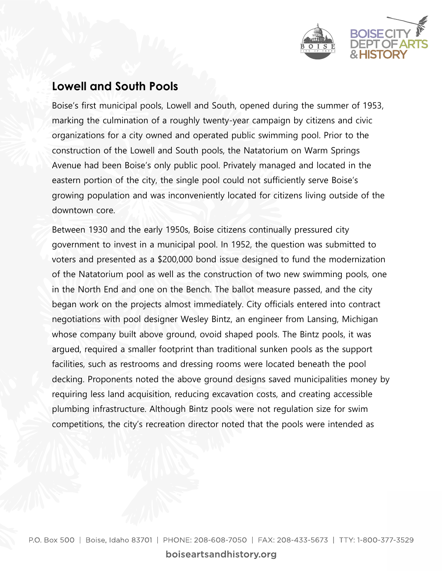

## **Lowell and South Pools**

Boise's first municipal pools, Lowell and South, opened during the summer of 1953, marking the culmination of a roughly twenty-year campaign by citizens and civic organizations for a city owned and operated public swimming pool. Prior to the construction of the Lowell and South pools, the Natatorium on Warm Springs Avenue had been Boise's only public pool. Privately managed and located in the eastern portion of the city, the single pool could not sufficiently serve Boise's growing population and was inconveniently located for citizens living outside of the downtown core.

Between 1930 and the early 1950s, Boise citizens continually pressured city government to invest in a municipal pool. In 1952, the question was submitted to voters and presented as a \$200,000 bond issue designed to fund the modernization of the Natatorium pool as well as the construction of two new swimming pools, one in the North End and one on the Bench. The ballot measure passed, and the city began work on the projects almost immediately. City officials entered into contract negotiations with pool designer Wesley Bintz, an engineer from Lansing, Michigan whose company built above ground, ovoid shaped pools. The Bintz pools, it was argued, required a smaller footprint than traditional sunken pools as the support facilities, such as restrooms and dressing rooms were located beneath the pool decking. Proponents noted the above ground designs saved municipalities money by requiring less land acquisition, reducing excavation costs, and creating accessible plumbing infrastructure. Although Bintz pools were not regulation size for swim competitions, the city's recreation director noted that the pools were intended as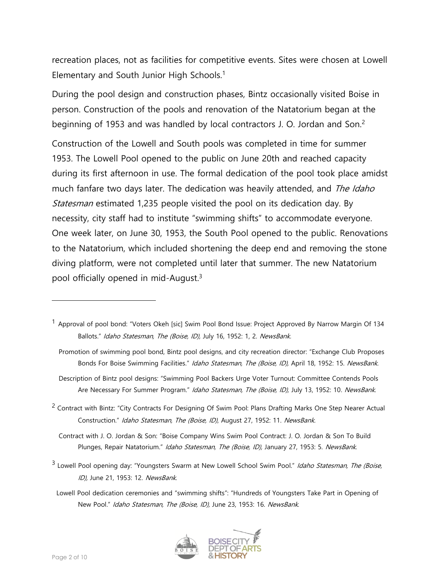recreation places, not as facilities for competitive events. Sites were chosen at Lowell Elementary and South Junior High Schools.<sup>1</sup>

During the pool design and construction phases, Bintz occasionally visited Boise in person. Construction of the pools and renovation of the Natatorium began at the beginning of 1953 and was handled by local contractors J. O. Jordan and Son.<sup>2</sup>

Construction of the Lowell and South pools was completed in time for summer 1953. The Lowell Pool opened to the public on June 20th and reached capacity during its first afternoon in use. The formal dedication of the pool took place amidst much fanfare two days later. The dedication was heavily attended, and The Idaho Statesman estimated 1,235 people visited the pool on its dedication day. By necessity, city staff had to institute "swimming shifts" to accommodate everyone. One week later, on June 30, 1953, the South Pool opened to the public. Renovations to the Natatorium, which included shortening the deep end and removing the stone diving platform, were not completed until later that summer. The new Natatorium pool officially opened in mid-August.<sup>3</sup>

<sup>2</sup> Contract with Bintz: "City Contracts For Designing Of Swim Pool: Plans Drafting Marks One Step Nearer Actual Construction." Idaho Statesman, The (Boise, ID), August 27, 1952: 11. NewsBank.

 Contract with J. O. Jordan & Son: "Boise Company Wins Swim Pool Contract: J. O. Jordan & Son To Build Plunges, Repair Natatorium." Idaho Statesman, The (Boise, ID), January 27, 1953: 5. NewsBank.

<sup>3</sup> Lowell Pool opening day: "Youngsters Swarm at New Lowell School Swim Pool." Idaho Statesman, The (Boise, ID), June 21, 1953: 12. NewsBank.

Lowell Pool dedication ceremonies and "swimming shifts": "Hundreds of Youngsters Take Part in Opening of New Pool." Idaho Statesman, The (Boise, ID), June 23, 1953: 16. NewsBank.



<sup>&</sup>lt;sup>1</sup> Approval of pool bond: "Voters Okeh [sic] Swim Pool Bond Issue: Project Approved By Narrow Margin Of 134 Ballots." Idaho Statesman, The (Boise, ID), July 16, 1952: 1, 2. NewsBank.

Promotion of swimming pool bond, Bintz pool designs, and city recreation director: "Exchange Club Proposes Bonds For Boise Swimming Facilities." Idaho Statesman, The (Boise, ID), April 18, 1952: 15. NewsBank.

Description of Bintz pool designs: "Swimming Pool Backers Urge Voter Turnout: Committee Contends Pools Are Necessary For Summer Program." Idaho Statesman, The (Boise, ID), July 13, 1952: 10. NewsBank.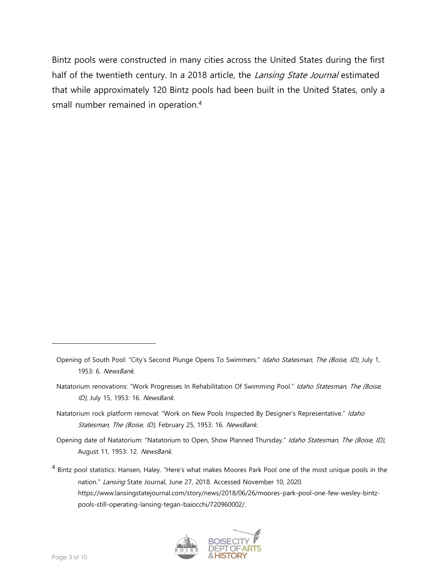Bintz pools were constructed in many cities across the United States during the first half of the twentieth century. In a 2018 article, the *Lansing State Journal* estimated that while approximately 120 Bintz pools had been built in the United States, only a small number remained in operation. 4

Opening date of Natatorium: "Natatorium to Open, Show Planned Thursday." Idaho Statesman, The (Boise, ID), August 11, 1953: 12. NewsBank.

<sup>&</sup>lt;sup>4</sup> Bintz pool statistics: Hansen, Haley. "Here's what makes Moores Park Pool one of the most unique pools in the nation." Lansing State Journal, June 27, 2018. Accessed November 10, 2020. https://www.lansingstatejournal.com/story/news/2018/06/26/moores-park-pool-one-few-wesley-bintzpools-still-operating-lansing-tegan-baiocchi/720960002/.



Opening of South Pool: "City's Second Plunge Opens To Swimmers." Idaho Statesman, The (Boise, ID), July 1, 1953: 6. NewsBank.

Natatorium renovations: "Work Progresses In Rehabilitation Of Swimming Pool." Idaho Statesman, The (Boise, ID), July 15, 1953: 16. NewsBank.

Natatorium rock platform removal: "Work on New Pools Inspected By Designer's Representative." Idaho Statesman, The (Boise, ID), February 25, 1953: 16. NewsBank.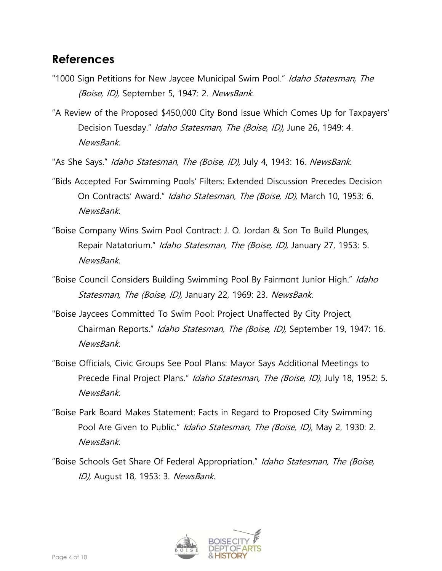## **References**

- "1000 Sign Petitions for New Jaycee Municipal Swim Pool." Idaho Statesman, The (Boise, ID), September 5, 1947: 2. NewsBank.
- "A Review of the Proposed \$450,000 City Bond Issue Which Comes Up for Taxpayers' Decision Tuesday." Idaho Statesman, The (Boise, ID), June 26, 1949: 4. NewsBank.
- "As She Says." Idaho Statesman, The (Boise, ID), July 4, 1943: 16. NewsBank.
- "Bids Accepted For Swimming Pools' Filters: Extended Discussion Precedes Decision On Contracts' Award." Idaho Statesman, The (Boise, ID), March 10, 1953: 6. NewsBank.
- "Boise Company Wins Swim Pool Contract: J. O. Jordan & Son To Build Plunges, Repair Natatorium." Idaho Statesman, The (Boise, ID), January 27, 1953: 5. NewsBank.
- "Boise Council Considers Building Swimming Pool By Fairmont Junior High." Idaho Statesman, The (Boise, ID), January 22, 1969: 23. NewsBank.
- "Boise Jaycees Committed To Swim Pool: Project Unaffected By City Project, Chairman Reports." Idaho Statesman, The (Boise, ID), September 19, 1947: 16. NewsBank.
- "Boise Officials, Civic Groups See Pool Plans: Mayor Says Additional Meetings to Precede Final Project Plans." Idaho Statesman, The (Boise, ID), July 18, 1952: 5. NewsBank.
- "Boise Park Board Makes Statement: Facts in Regard to Proposed City Swimming Pool Are Given to Public." Idaho Statesman, The (Boise, ID), May 2, 1930: 2. NewsBank.
- "Boise Schools Get Share Of Federal Appropriation." Idaho Statesman, The (Boise, ID), August 18, 1953: 3. NewsBank.

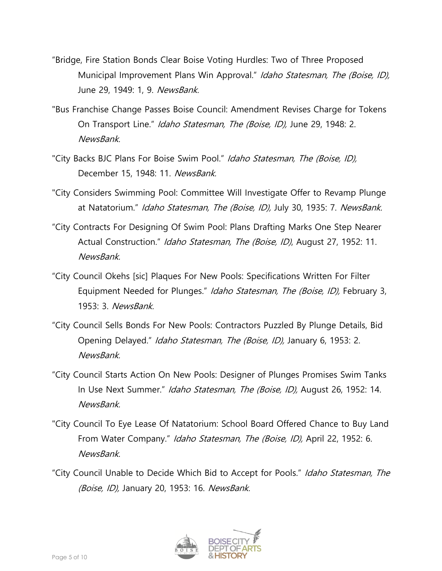- "Bridge, Fire Station Bonds Clear Boise Voting Hurdles: Two of Three Proposed Municipal Improvement Plans Win Approval." Idaho Statesman, The (Boise, ID), June 29, 1949: 1, 9. NewsBank.
- "Bus Franchise Change Passes Boise Council: Amendment Revises Charge for Tokens On Transport Line." Idaho Statesman, The (Boise, ID), June 29, 1948: 2. NewsBank.
- "City Backs BJC Plans For Boise Swim Pool." Idaho Statesman, The (Boise, ID), December 15, 1948: 11. NewsBank.
- "City Considers Swimming Pool: Committee Will Investigate Offer to Revamp Plunge at Natatorium." Idaho Statesman, The (Boise, ID), July 30, 1935: 7. NewsBank.
- "City Contracts For Designing Of Swim Pool: Plans Drafting Marks One Step Nearer Actual Construction." Idaho Statesman, The (Boise, ID), August 27, 1952: 11. NewsBank.
- "City Council Okehs [sic] Plaques For New Pools: Specifications Written For Filter Equipment Needed for Plunges." Idaho Statesman, The (Boise, ID), February 3, 1953: 3. NewsBank.
- "City Council Sells Bonds For New Pools: Contractors Puzzled By Plunge Details, Bid Opening Delayed." *Idaho Statesman, The (Boise, ID)*, January 6, 1953: 2. NewsBank.
- "City Council Starts Action On New Pools: Designer of Plunges Promises Swim Tanks In Use Next Summer." Idaho Statesman, The (Boise, ID), August 26, 1952: 14. NewsBank.
- "City Council To Eye Lease Of Natatorium: School Board Offered Chance to Buy Land From Water Company." Idaho Statesman, The (Boise, ID), April 22, 1952: 6. NewsBank.
- "City Council Unable to Decide Which Bid to Accept for Pools." Idaho Statesman, The (Boise, ID), January 20, 1953: 16. NewsBank.

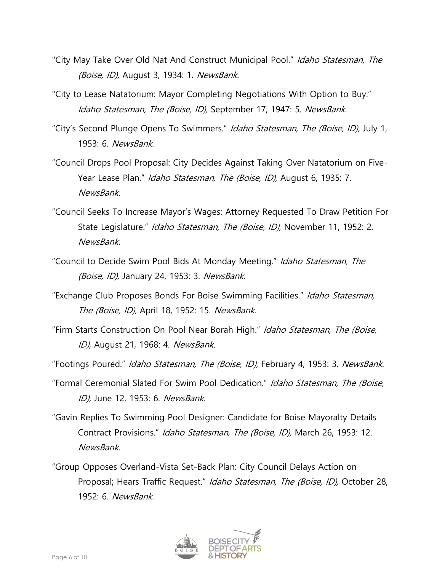- "City May Take Over Old Nat And Construct Municipal Pool." Idaho Statesman, The (Boise, ID), August 3, 1934: 1. NewsBank.
- "City to Lease Natatorium: Mayor Completing Negotiations With Option to Buy." Idaho Statesman, The (Boise, ID), September 17, 1947: 5. NewsBank.
- "City's Second Plunge Opens To Swimmers." Idaho Statesman, The (Boise, ID), July 1, 1953: 6. NewsBank.
- "Council Drops Pool Proposal: City Decides Against Taking Over Natatorium on Five-Year Lease Plan." *Idaho Statesman, The (Boise, ID)*, August 6, 1935: 7. NewsBank.
- "Council Seeks To Increase Mayor's Wages: Attorney Requested To Draw Petition For State Legislature." Idaho Statesman, The (Boise, ID), November 11, 1952: 2. NewsBank.
- "Council to Decide Swim Pool Bids At Monday Meeting." Idaho Statesman, The (Boise, ID), January 24, 1953: 3. NewsBank.
- "Exchange Club Proposes Bonds For Boise Swimming Facilities." Idaho Statesman, The (Boise, ID), April 18, 1952: 15. NewsBank.
- "Firm Starts Construction On Pool Near Borah High." Idaho Statesman, The (Boise, ID), August 21, 1968: 4. NewsBank.
- "Footings Poured." Idaho Statesman, The (Boise, ID), February 4, 1953: 3. NewsBank.
- "Formal Ceremonial Slated For Swim Pool Dedication." Idaho Statesman, The (Boise, ID), June 12, 1953: 6. NewsBank.
- "Gavin Replies To Swimming Pool Designer: Candidate for Boise Mayoralty Details Contract Provisions." Idaho Statesman, The (Boise, ID), March 26, 1953: 12. **NewsBank**
- "Group Opposes Overland-Vista Set-Back Plan: City Council Delays Action on Proposal; Hears Traffic Request." Idaho Statesman, The (Boise, ID), October 28, 1952: 6. NewsBank.

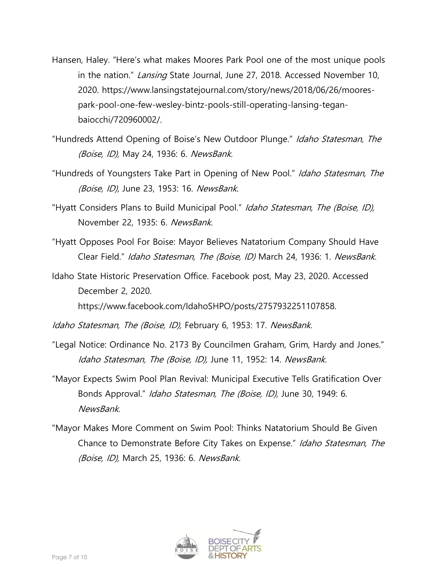- Hansen, Haley. "Here's what makes Moores Park Pool one of the most unique pools in the nation." Lansing State Journal, June 27, 2018. Accessed November 10, 2020. https://www.lansingstatejournal.com/story/news/2018/06/26/moorespark-pool-one-few-wesley-bintz-pools-still-operating-lansing-teganbaiocchi/720960002/.
- "Hundreds Attend Opening of Boise's New Outdoor Plunge." Idaho Statesman, The (Boise, ID), May 24, 1936: 6. NewsBank.
- "Hundreds of Youngsters Take Part in Opening of New Pool." Idaho Statesman, The (Boise, ID), June 23, 1953: 16. NewsBank.
- "Hyatt Considers Plans to Build Municipal Pool." Idaho Statesman, The (Boise, ID), November 22, 1935: 6. NewsBank.
- "Hyatt Opposes Pool For Boise: Mayor Believes Natatorium Company Should Have Clear Field." Idaho Statesman, The (Boise, ID) March 24, 1936: 1. NewsBank.
- Idaho State Historic Preservation Office. Facebook post, May 23, 2020. Accessed December 2, 2020.

https://www.facebook.com/IdahoSHPO/posts/2757932251107858.

Idaho Statesman, The (Boise, ID), February 6, 1953: 17. NewsBank.

- "Legal Notice: Ordinance No. 2173 By Councilmen Graham, Grim, Hardy and Jones." Idaho Statesman, The (Boise, ID), June 11, 1952: 14. NewsBank.
- "Mayor Expects Swim Pool Plan Revival: Municipal Executive Tells Gratification Over Bonds Approval." Idaho Statesman, The (Boise, ID), June 30, 1949: 6. NewsBank.
- "Mayor Makes More Comment on Swim Pool: Thinks Natatorium Should Be Given Chance to Demonstrate Before City Takes on Expense." Idaho Statesman, The (Boise, ID), March 25, 1936: 6. NewsBank.

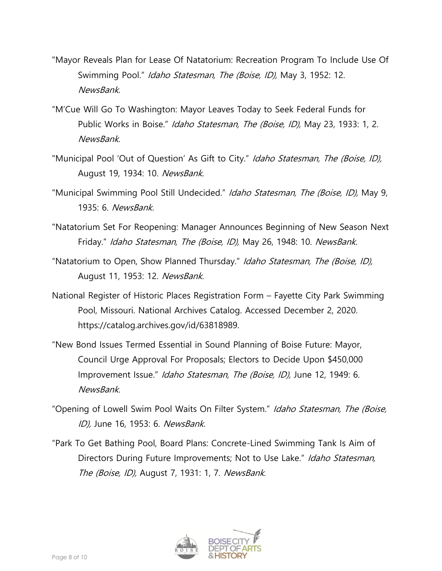- "Mayor Reveals Plan for Lease Of Natatorium: Recreation Program To Include Use Of Swimming Pool." *Idaho Statesman, The (Boise, ID)*, May 3, 1952: 12. NewsBank.
- "M'Cue Will Go To Washington: Mayor Leaves Today to Seek Federal Funds for Public Works in Boise." Idaho Statesman, The (Boise, ID), May 23, 1933: 1, 2. NewsBank.
- "Municipal Pool 'Out of Question' As Gift to City." Idaho Statesman, The (Boise, ID), August 19, 1934: 10. NewsBank.
- "Municipal Swimming Pool Still Undecided." Idaho Statesman, The (Boise, ID), May 9, 1935: 6. NewsBank.
- "Natatorium Set For Reopening: Manager Announces Beginning of New Season Next Friday." Idaho Statesman, The (Boise, ID), May 26, 1948: 10. NewsBank.
- "Natatorium to Open, Show Planned Thursday." Idaho Statesman, The (Boise, ID), August 11, 1953: 12. NewsBank.
- National Register of Historic Places Registration Form Fayette City Park Swimming Pool, Missouri. National Archives Catalog. Accessed December 2, 2020. https://catalog.archives.gov/id/63818989.
- "New Bond Issues Termed Essential in Sound Planning of Boise Future: Mayor, Council Urge Approval For Proposals; Electors to Decide Upon \$450,000 Improvement Issue." Idaho Statesman, The (Boise, ID), June 12, 1949: 6. NewsBank.
- "Opening of Lowell Swim Pool Waits On Filter System." Idaho Statesman, The (Boise, ID), June 16, 1953: 6. NewsBank.
- "Park To Get Bathing Pool, Board Plans: Concrete-Lined Swimming Tank Is Aim of Directors During Future Improvements; Not to Use Lake." Idaho Statesman, The (Boise, ID), August 7, 1931: 1, 7. NewsBank.

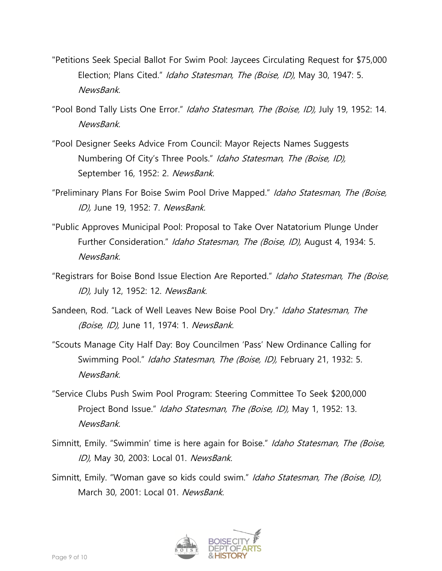- "Petitions Seek Special Ballot For Swim Pool: Jaycees Circulating Request for \$75,000 Election; Plans Cited." *Idaho Statesman, The (Boise, ID)*, May 30, 1947: 5. NewsBank.
- "Pool Bond Tally Lists One Error." Idaho Statesman, The (Boise, ID), July 19, 1952: 14. **NewsBank**
- "Pool Designer Seeks Advice From Council: Mayor Rejects Names Suggests Numbering Of City's Three Pools." Idaho Statesman, The (Boise, ID), September 16, 1952: 2. NewsBank.
- "Preliminary Plans For Boise Swim Pool Drive Mapped." Idaho Statesman, The (Boise, ID), June 19, 1952: 7. NewsBank.
- "Public Approves Municipal Pool: Proposal to Take Over Natatorium Plunge Under Further Consideration." Idaho Statesman, The (Boise, ID), August 4, 1934: 5. NewsBank.
- "Registrars for Boise Bond Issue Election Are Reported." Idaho Statesman, The (Boise, ID), July 12, 1952: 12. NewsBank.
- Sandeen, Rod. "Lack of Well Leaves New Boise Pool Dry." Idaho Statesman, The (Boise, ID), June 11, 1974: 1. NewsBank.
- "Scouts Manage City Half Day: Boy Councilmen 'Pass' New Ordinance Calling for Swimming Pool." Idaho Statesman, The (Boise, ID), February 21, 1932: 5. NewsBank.
- "Service Clubs Push Swim Pool Program: Steering Committee To Seek \$200,000 Project Bond Issue." Idaho Statesman, The (Boise, ID), May 1, 1952: 13. NewsBank.
- Simnitt, Emily. "Swimmin' time is here again for Boise." Idaho Statesman, The (Boise, ID), May 30, 2003: Local 01. NewsBank.
- Simnitt, Emily. "Woman gave so kids could swim." Idaho Statesman, The (Boise, ID), March 30, 2001: Local 01. NewsBank.